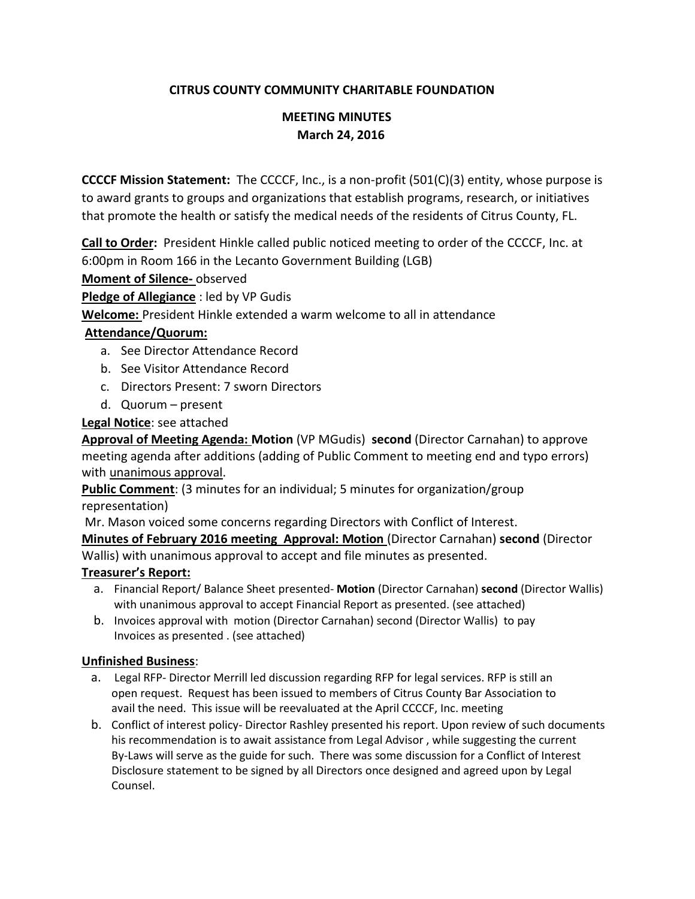## **CITRUS COUNTY COMMUNITY CHARITABLE FOUNDATION**

# **MEETING MINUTES March 24, 2016**

**CCCCF Mission Statement:** The CCCCF, Inc., is a non-profit (501(C)(3) entity, whose purpose is to award grants to groups and organizations that establish programs, research, or initiatives that promote the health or satisfy the medical needs of the residents of Citrus County, FL.

**Call to Order:** President Hinkle called public noticed meeting to order of the CCCCF, Inc. at 6:00pm in Room 166 in the Lecanto Government Building (LGB)

**Moment of Silence-** observed

**Pledge of Allegiance** : led by VP Gudis

**Welcome:** President Hinkle extended a warm welcome to all in attendance

### **Attendance/Quorum:**

- a. See Director Attendance Record
- b. See Visitor Attendance Record
- c. Directors Present: 7 sworn Directors
- d. Quorum present

### **Legal Notice**: see attached

**Approval of Meeting Agenda: Motion** (VP MGudis) **second** (Director Carnahan) to approve meeting agenda after additions (adding of Public Comment to meeting end and typo errors) with unanimous approval.

**Public Comment**: (3 minutes for an individual; 5 minutes for organization/group representation)

Mr. Mason voiced some concerns regarding Directors with Conflict of Interest. **Minutes of February 2016 meeting Approval: Motion** (Director Carnahan) **second** (Director Wallis) with unanimous approval to accept and file minutes as presented.

### **Treasurer's Report:**

- a. Financial Report/ Balance Sheet presented- **Motion** (Director Carnahan) **second** (Director Wallis) with unanimous approval to accept Financial Report as presented. (see attached)
- b. Invoices approval with motion (Director Carnahan) second (Director Wallis) to pay Invoices as presented . (see attached)

### **Unfinished Business**:

- a. Legal RFP- Director Merrill led discussion regarding RFP for legal services. RFP is still an open request. Request has been issued to members of Citrus County Bar Association to avail the need. This issue will be reevaluated at the April CCCCF, Inc. meeting
- b. Conflict of interest policy- Director Rashley presented his report. Upon review of such documents his recommendation is to await assistance from Legal Advisor , while suggesting the current By-Laws will serve as the guide for such. There was some discussion for a Conflict of Interest Disclosure statement to be signed by all Directors once designed and agreed upon by Legal Counsel.